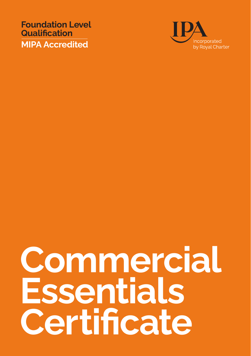**Foundation Level Qualification MIPA Accredited**



## **Commercial Essentials Certificate**